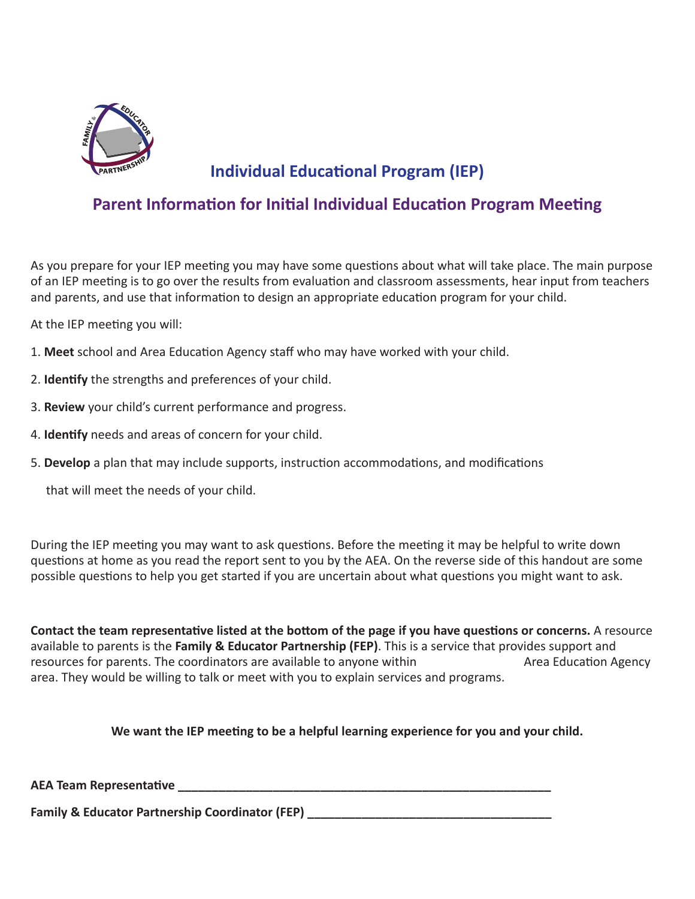

# **Individual Educational Program (IEP)**

## **Parent Information for Initial Individual Education Program Meeting**

As you prepare for your IEP meeting you may have some questions about what will take place. The main purpose of an IEP meeting is to go over the results from evaluation and classroom assessments, hear input from teachers and parents, and use that information to design an appropriate education program for your child.

At the IEP meeting you will:

- 1. **Meet** school and Area Education Agency staff who may have worked with your child.
- 2. **Identify** the strengths and preferences of your child.
- 3. **Review** your child's current performance and progress.
- 4. **Identify** needs and areas of concern for your child.
- 5. **Develop** a plan that may include supports, instruction accommodations, and modifications

that will meet the needs of your child.

During the IEP meeting you may want to ask questions. Before the meeting it may be helpful to write down questions at home as you read the report sent to you by the AEA. On the reverse side of this handout are some possible questions to help you get started if you are uncertain about what questions you might want to ask.

resources for parents. The coordinators are available to anyone within Area Education Agency **Contact the team representative listed at the bottom of the page if you have questions or concerns.** A resource available to parents is the **Family & Educator Partnership (FEP)**. This is a service that provides support and area. They would be willing to talk or meet with you to explain services and programs.

**We want the IEP meeting to be a helpful learning experience for you and your child.**

**AEA Team Representative \_\_\_\_\_\_\_\_\_\_\_\_\_\_\_\_\_\_\_\_\_\_\_\_\_\_\_\_\_\_\_\_\_\_\_\_\_\_\_\_\_\_\_\_\_\_\_\_\_\_\_\_\_\_\_**

**Family & Educator Partnership Coordinator (FEP)**